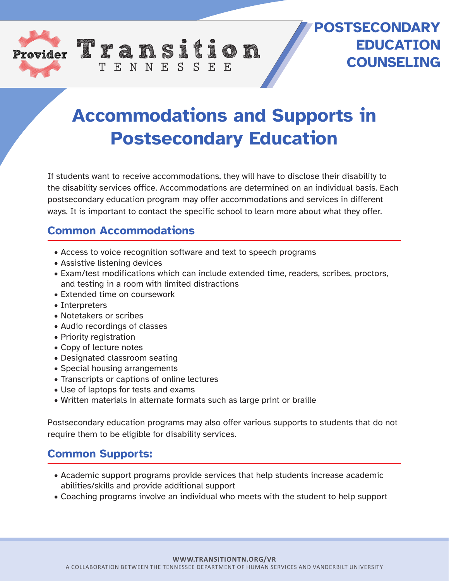

## **POSTSECONDARY EDUCATION COUNSELING**

# **Accommodations and Supports in Postsecondary Education**

If students want to receive accommodations, they will have to disclose their disability to the disability services office. Accommodations are determined on an individual basis. Each postsecondary education program may offer accommodations and services in different ways. It is important to contact the specific school to learn more about what they offer.

#### **Common Accommodations**

• Access to voice recognition software and text to speech programs

TENNESSEE

- Assistive listening devices
- Exam/test modifications which can include extended time, readers, scribes, proctors, and testing in a room with limited distractions
- Extended time on coursework
- Interpreters
- Notetakers or scribes
- Audio recordings of classes
- Priority registration
- Copy of lecture notes
- Designated classroom seating
- Special housing arrangements
- Transcripts or captions of online lectures
- Use of laptops for tests and exams
- Written materials in alternate formats such as large print or braille

Postsecondary education programs may also offer various supports to students that do not require them to be eligible for disability services.

### **Common Supports:**

- Academic support programs provide services that help students increase academic abilities/skills and provide additional support
- Coaching programs involve an individual who meets with the student to help support

#### **WWW.TRANSITIONTN.ORG/VR**